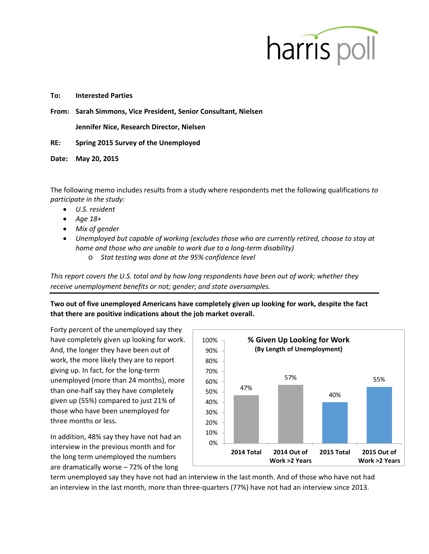

## **To: Interested Parties**

**From: Sarah Simmons, Vice President, Senior Consultant, Nielsen**

**Jennifer Nice, Research Director, Nielsen**

**RE: Spring 2015 Survey of the Unemployed**

**Date: May 20, 2015**

The following memo includes results from a study where respondents met the following qualifications *to participate in the study:*

- *U.S. resident*
- *Age 18+*
- *Mix of gender*
- *Unemployed but capable of working (excludes those who are currently retired, choose to stay at home and those who are unable to work due to a long-term disability)*
	- o *Stat testing was done at the 95% confidence level*

*This report covers the U.S. total and by how long respondents have been out of work; whether they receive unemployment benefits or not; gender; and state oversamples.*

**Two out of five unemployed Americans have completely given up looking for work, despite the fact that there are positive indications about the job market overall.** 

Forty percent of the unemployed say they have completely given up looking for work. And, the longer they have been out of work, the more likely they are to report giving up. In fact, for the long-term unemployed (more than 24 months), more than one-half say they have completely given up (55%) compared to just 21% of those who have been unemployed for three months or less.

In addition, 48% say they have not had an interview in the previous month and for the long term unemployed the numbers are dramatically worse – 72% of the long



term unemployed say they have not had an interview in the last month. And of those who have not had an interview in the last month, more than three-quarters (77%) have not had an interview since 2013.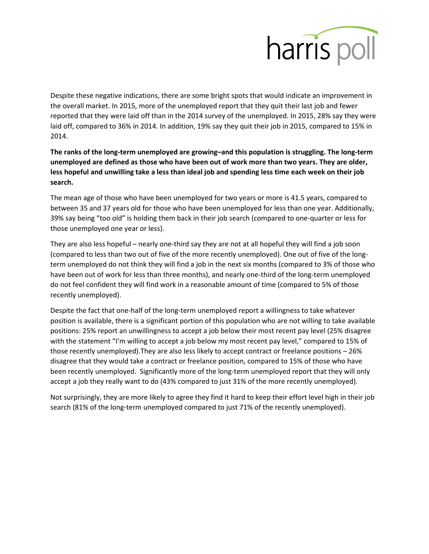

Despite these negative indications, there are some bright spots that would indicate an improvement in the overall market. In 2015, more of the unemployed report that they quit their last job and fewer reported that they were laid off than in the 2014 survey of the unemployed. In 2015, 28% say they were laid off, compared to 36% in 2014. In addition, 19% say they quit their job in 2015, compared to 15% in 2014.

**The ranks of the long-term unemployed are growing–and this population is struggling. The long-term unemployed are defined as those who have been out of work more than two years. They are older, less hopeful and unwilling take a less than ideal job and spending less time each week on their job search.** 

The mean age of those who have been unemployed for two years or more is 41.5 years, compared to between 35 and 37 years old for those who have been unemployed for less than one year. Additionally, 39% say being "too old" is holding them back in their job search (compared to one-quarter or less for those unemployed one year or less).

They are also less hopeful – nearly one-third say they are not at all hopeful they will find a job soon (compared to less than two out of five of the more recently unemployed). One out of five of the longterm unemployed do not think they will find a job in the next six months (compared to 3% of those who have been out of work for less than three months), and nearly one-third of the long-term unemployed do not feel confident they will find work in a reasonable amount of time (compared to 5% of those recently unemployed).

Despite the fact that one-half of the long-term unemployed report a willingness to take whatever position is available, there is a significant portion of this population who are not willing to take available positions: 25% report an unwillingness to accept a job below their most recent pay level (25% disagree with the statement "I'm willing to accept a job below my most recent pay level," compared to 15% of those recently unemployed).They are also less likely to accept contract or freelance positions – 26% disagree that they would take a contract or freelance position, compared to 15% of those who have been recently unemployed. Significantly more of the long-term unemployed report that they will only accept a job they really want to do (43% compared to just 31% of the more recently unemployed).

Not surprisingly, they are more likely to agree they find it hard to keep their effort level high in their job search (81% of the long-term unemployed compared to just 71% of the recently unemployed).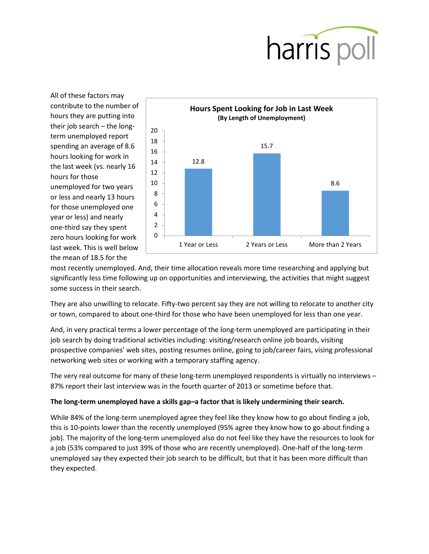

All of these factors may contribute to the number of hours they are putting into their job search – the longterm unemployed report spending an average of 8.6 hours looking for work in the last week (vs. nearly 16 hours for those unemployed for two years or less and nearly 13 hours for those unemployed one year or less) and nearly one-third say they spent zero hours looking for work last week. This is well below the mean of 18.5 for the



most recently unemployed. And, their time allocation reveals more time researching and applying but significantly less time following up on opportunities and interviewing, the activities that might suggest some success in their search.

They are also unwilling to relocate. Fifty-two percent say they are not willing to relocate to another city or town, compared to about one-third for those who have been unemployed for less than one year.

And, in very practical terms a lower percentage of the long-term unemployed are participating in their job search by doing traditional activities including: visiting/research online job boards, visiting prospective companies' web sites, posting resumes online, going to job/career fairs, vising professional networking web sites or working with a temporary staffing agency.

The very real outcome for many of these long-term unemployed respondents is virtually no interviews – 87% report their last interview was in the fourth quarter of 2013 or sometime before that.

## **The long-term unemployed have a skills gap–a factor that is likely undermining their search.**

While 84% of the long-term unemployed agree they feel like they know how to go about finding a job, this is 10-points lower than the recently unemployed (95% agree they know how to go about finding a job). The majority of the long-term unemployed also do not feel like they have the resources to look for a job (53% compared to just 39% of those who are recently unemployed). One-half of the long-term unemployed say they expected their job search to be difficult, but that it has been more difficult than they expected.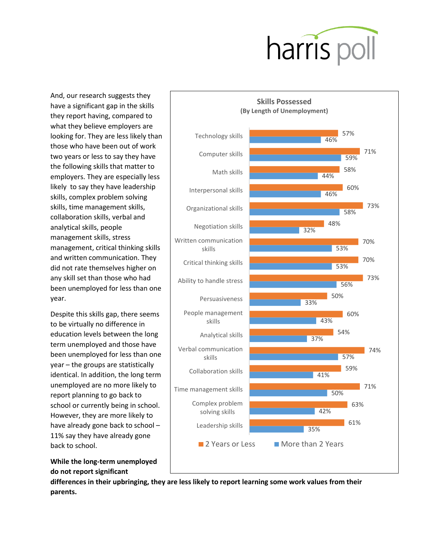

And, our research suggests they have a significant gap in the skills they report having, compared to what they believe employers are looking for. They are less likely than those who have been out of work two years or less to say they have the following skills that matter to employers. They are especially less likely to say they have leadership skills, complex problem solving skills, time management skills, collaboration skills, verbal and analytical skills, people management skills, stress management, critical thinking skills and written communication. They did not rate themselves higher on any skill set than those who had been unemployed for less than one year.

Despite this skills gap, there seems to be virtually no difference in education levels between the long term unemployed and those have been unemployed for less than one year – the groups are statistically identical. In addition, the long term unemployed are no more likely to report planning to go back to school or currently being in school. However, they are more likely to have already gone back to school – 11% say they have already gone back to school.





**differences in their upbringing, they are less likely to report learning some work values from their parents.**